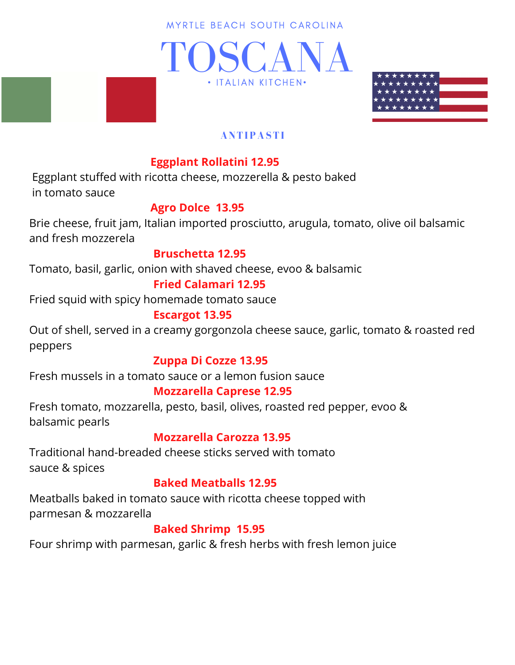MYRTLE BEACH SOUTH CAROLINA





### **ANTIPASTI**

# **Eggplant Rollatini 12.95**

Eggplant stuffed with ricotta cheese, mozzerella & pesto baked in tomato sauce

## **Agro Dolce 13.95**

Brie cheese, fruit jam, Italian imported prosciutto, arugula, tomato, olive oil balsamic and fresh mozzerela

### **Bruschetta 12.95**

Tomato, basil, garlic, onion with shaved cheese, evoo & balsamic

## **Fried Calamari 12.95**

Fried squid with spicy homemade tomato sauce

### **Escargot 13.95**

Out of shell, served in a creamy gorgonzola cheese sauce, garlic, tomato & roasted red peppers

### **Zuppa Di Cozze 13.95**

Fresh mussels in a tomato sauce or a lemon fusion sauce

# **Mozzarella Caprese 12.95**

Fresh tomato, mozzarella, pesto, basil, olives, roasted red pepper, evoo & balsamic pearls

# **Mozzarella Carozza 13.95**

Traditional hand-breaded cheese sticks served with tomato sauce & spices

### **Baked Meatballs 12.95**

Meatballs baked in tomato sauce with ricotta cheese topped with parmesan & mozzarella

### **Baked Shrimp 15.95**

Four shrimp with parmesan, garlic & fresh herbs with fresh lemon juice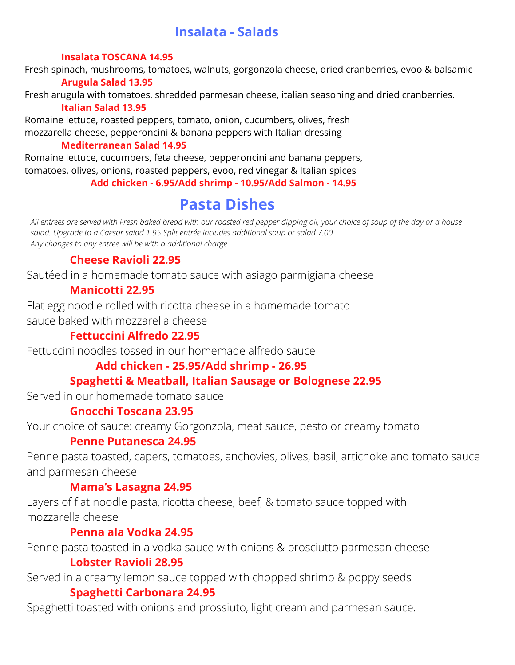# **Insalata - Salads**

#### **Insalata TOSCANA 14.95**

Fresh spinach, mushrooms, tomatoes, walnuts, gorgonzola cheese, dried cranberries, evoo & balsamic **Arugula Salad 13.95**

Fresh arugula with tomatoes, shredded parmesan cheese, italian seasoning and dried cranberries. **Italian Salad 13.95**

Romaine lettuce, roasted peppers, tomato, onion, cucumbers, olives, fresh mozzarella cheese, pepperoncini & banana peppers with Italian dressing

#### **Mediterranean Salad 14.95**

Romaine lettuce, cucumbers, feta cheese, pepperoncini and banana peppers, tomatoes, olives, onions, roasted peppers, evoo, red vinegar & Italian spices **Add chicken - 6.95/Add shrimp - 10.95/Add Salmon - 14.95**

# **Pasta Dishes**

All entrees are served with Fresh baked bread with our roasted red pepper dipping oil, your choice of soup of the day or a house *salad. Upgrade to a Caesar salad 1.95 Split entrée includes additional soup or salad 7.00 Any changes to any entree will be with a additional charge*

## **Cheese Ravioli 22.95**

Sautéed in a homemade tomato sauce with asiago parmigiana cheese

## **Manicotti 22.95**

Flat egg noodle rolled with ricotta cheese in a homemade tomato sauce baked with mozzarella cheese

# **Fettuccini Alfredo 22.95**

Fettuccini noodles tossed in our homemade alfredo sauce

### **Add chicken - 25.95/Add shrimp - 26.95**

# **Spaghetti & Meatball, Italian Sausage or Bolognese 22.95**

Served in our homemade tomato sauce

### **Gnocchi Toscana 23.95**

Your choice of sauce: creamy Gorgonzola, meat sauce, pesto or creamy tomato

### **Penne Putanesca 24.95**

Penne pasta toasted, capers, tomatoes, anchovies, olives, basil, artichoke and tomato sauce and parmesan cheese

### **Mama's Lasagna 24.95**

Layers of flat noodle pasta, ricotta cheese, beef, & tomato sauce topped with mozzarella cheese

### **Penna ala Vodka 24.95**

Penne pasta toasted in a vodka sauce with onions & prosciutto parmesan cheese

### **Lobster Ravioli 28.95**

Served in a creamy lemon sauce topped with chopped shrimp & poppy seeds

### **Spaghetti Carbonara 24.95**

Spaghetti toasted with onions and prossiuto, light cream and parmesan sauce.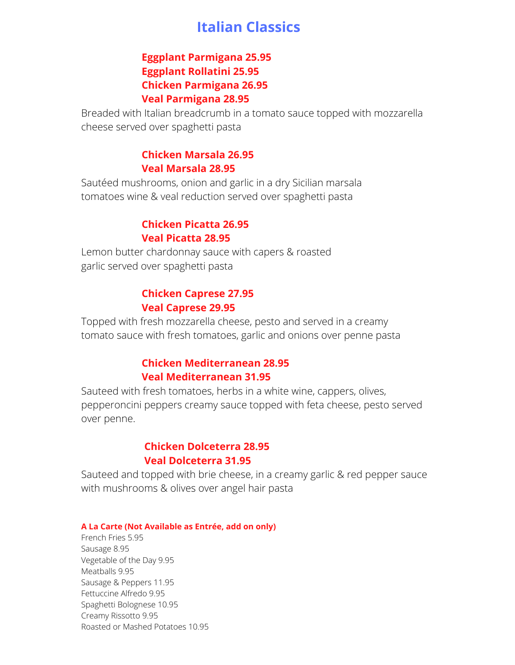# **Italian Classics**

#### **Eggplant Parmigana 25.95 Eggplant Rollatini 25.95 Chicken Parmigana 26.95 Veal Parmigana 28.95**

Breaded with Italian breadcrumb in a tomato sauce topped with mozzarella cheese served over spaghetti pasta

#### **Chicken Marsala 26.95 Veal Marsala 28.95**

Sautéed mushrooms, onion and garlic in a dry Sicilian marsala tomatoes wine & veal reduction served over spaghetti pasta

#### **Chicken Picatta 26.95 Veal Picatta 28.95**

Lemon butter chardonnay sauce with capers & roasted garlic served over spaghetti pasta

#### **Chicken Caprese 27.95 Veal Caprese 29.95**

Topped with fresh mozzarella cheese, pesto and served in a creamy tomato sauce with fresh tomatoes, garlic and onions over penne pasta

#### **Chicken Mediterranean 28.95 Veal Mediterranean 31.95**

Sauteed with fresh tomatoes, herbs in a white wine, cappers, olives, pepperoncini peppers creamy sauce topped with feta cheese, pesto served over penne.

#### **Chicken Dolceterra 28.95 Veal Dolceterra 31.95**

Sauteed and topped with brie cheese, in a creamy garlic & red pepper sauce with mushrooms & olives over angel hair pasta

#### **A La Carte (Not Available as Entrée, add on only)**

French Fries 5.95 Sausage 8.95 Vegetable of the Day 9.95 Meatballs 9.95 Sausage & Peppers 11.95 Fettuccine Alfredo 9.95 Spaghetti Bolognese 10.95 Creamy Rissotto 9.95 Roasted or Mashed Potatoes 10.95